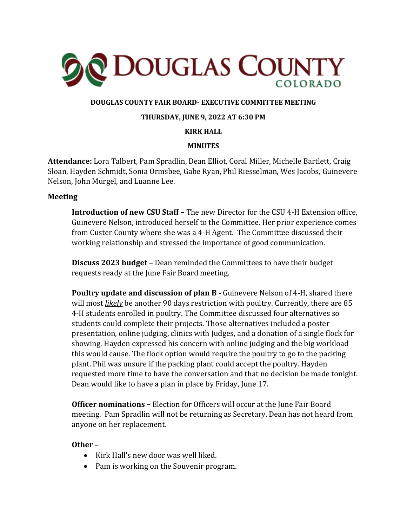

## **DOUGLAS COUNTY FAIR BOARD- EXECUTIVE COMMITTEE MEETING**

#### **THURSDAY, JUNE 9, 2022 AT 6:30 PM**

#### **KIRK HALL**

### **MINUTES**

**Attendance:** Lora Talbert, Pam Spradlin, Dean Elliot, Coral Miller, Michelle Bartlett, Craig Sloan, Hayden Schmidt, Sonia Ormsbee, Gabe Ryan, Phil Riesselman, Wes Jacobs, Guinevere Nelson, John Murgel, and Luanne Lee.

#### **Meeting**

**Introduction of new CSU Staff –** The new Director for the CSU 4-H Extension office, Guinevere Nelson, introduced herself to the Committee. Her prior experience comes from Custer County where she was a 4-H Agent. The Committee discussed their working relationship and stressed the importance of good communication.

**Discuss 2023 budget –** Dean reminded the Committees to have their budget requests ready at the June Fair Board meeting.

**Poultry update and discussion of plan B -** Guinevere Nelson of 4-H, shared there will most *likely* be another 90 days restriction with poultry. Currently, there are 85 4-H students enrolled in poultry. The Committee discussed four alternatives so students could complete their projects. Those alternatives included a poster presentation, online judging, clinics with Judges, and a donation of a single flock for showing. Hayden expressed his concern with online judging and the big workload this would cause. The flock option would require the poultry to go to the packing plant. Phil was unsure if the packing plant could accept the poultry. Hayden requested more time to have the conversation and that no decision be made tonight. Dean would like to have a plan in place by Friday, June 17.

**Officer nominations –** Election for Officers will occur at the June Fair Board meeting. Pam Spradlin will not be returning as Secretary. Dean has not heard from anyone on her replacement.

#### **Other –**

- Kirk Hall's new door was well liked.
- Pam is working on the Souvenir program.